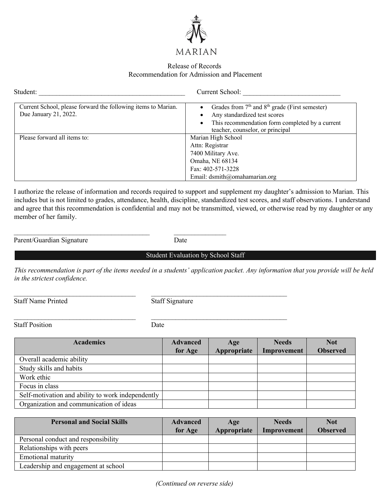

## Release of Records Recommendation for Admission and Placement

| Student:                                                                               | Current School:                                                                                                                                                                               |
|----------------------------------------------------------------------------------------|-----------------------------------------------------------------------------------------------------------------------------------------------------------------------------------------------|
| Current School, please forward the following items to Marian.<br>Due January 21, 2022. | Grades from 7 <sup>th</sup> and 8 <sup>th</sup> grade (First semester)<br>Any standardized test scores<br>This recommendation form completed by a current<br>teacher, counselor, or principal |
| Please forward all items to:                                                           | Marian High School<br>Attn: Registrar<br>7400 Military Ave.<br>Omaha, NE 68134<br>Fax: 402-571-3228<br>Email: dsmith@omahamarian.org                                                          |

I authorize the release of information and records required to support and supplement my daughter's admission to Marian. This includes but is not limited to grades, attendance, health, discipline, standardized test scores, and staff observations. I understand and agree that this recommendation is confidential and may not be transmitted, viewed, or otherwise read by my daughter or any member of her family.

Parent/Guardian Signature Date

Student Evaluation by School Staff

*This recommendation is part of the items needed in a students' application packet. Any information that you provide will be held in the strictest confidence.* 

Staff Name Printed Staff Signature

 $\mathcal{L}_\text{max} = \frac{1}{2} \sum_{i=1}^n \mathcal{L}_\text{max} = \frac{1}{2} \sum_{i=1}^n \mathcal{L}_\text{max} = \frac{1}{2} \sum_{i=1}^n \mathcal{L}_\text{max} = \frac{1}{2} \sum_{i=1}^n \mathcal{L}_\text{max} = \frac{1}{2} \sum_{i=1}^n \mathcal{L}_\text{max} = \frac{1}{2} \sum_{i=1}^n \mathcal{L}_\text{max} = \frac{1}{2} \sum_{i=1}^n \mathcal{L}_\text{max} = \frac{1}{2} \sum_{i=$ 

Staff Position Date

\_\_\_\_\_\_\_\_\_\_\_\_\_\_\_\_\_\_\_\_\_\_\_\_\_\_\_\_\_\_\_\_\_\_\_ \_\_\_\_\_\_\_\_\_\_\_\_\_\_\_\_\_\_\_\_\_\_\_\_\_\_\_\_\_\_\_\_\_\_\_\_\_\_\_

 $\mathcal{L}_\text{max}$  and the contract of the contract of the contract of the contract of the contract of the contract of the contract of the contract of the contract of the contract of the contract of the contract of the contrac

| <b>Academics</b>                                  | <b>Advanced</b> | Age         | <b>Needs</b> | <b>Not</b>      |
|---------------------------------------------------|-----------------|-------------|--------------|-----------------|
|                                                   | for Age         | Appropriate | Improvement  | <b>Observed</b> |
| Overall academic ability                          |                 |             |              |                 |
| Study skills and habits                           |                 |             |              |                 |
| Work ethic                                        |                 |             |              |                 |
| Focus in class                                    |                 |             |              |                 |
| Self-motivation and ability to work independently |                 |             |              |                 |
| Organization and communication of ideas           |                 |             |              |                 |

| <b>Personal and Social Skills</b>   | <b>Advanced</b><br>for Age | Age<br>Appropriate | <b>Needs</b><br>Improvement | <b>Not</b><br><b>Observed</b> |
|-------------------------------------|----------------------------|--------------------|-----------------------------|-------------------------------|
| Personal conduct and responsibility |                            |                    |                             |                               |
| Relationships with peers            |                            |                    |                             |                               |
| <b>Emotional maturity</b>           |                            |                    |                             |                               |
| Leadership and engagement at school |                            |                    |                             |                               |